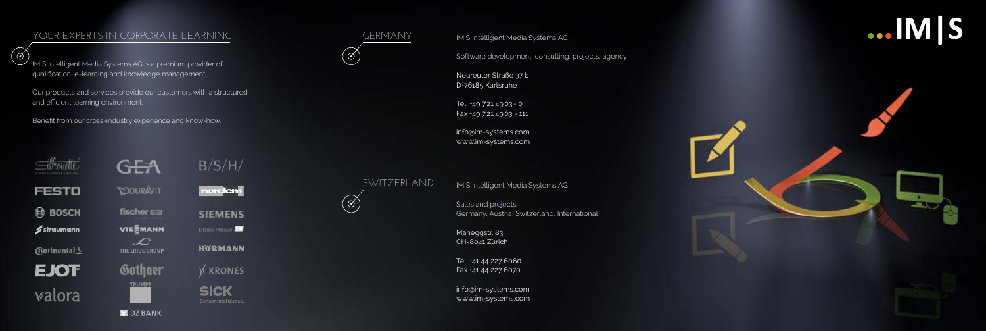IM|S Intelligent Media Systems AG

Maneggstr. 83 CH-8041 Zürich

Sales and projects Germany, Austria, Switzerland, International

Tel. +41 44 227 6060 Fax +41 44 227 6070

info@im-systems.com www.im-systems.com

# $...$ IM S

IM|S Intelligent Media Systems AG

Software development, consulting, projects, agency

Neureuter Straße 37 b D-76185 Karlsruhe

Tel. +49 721 4903- 0 Fax +49 721 4903 - 111

info@im-systems.com www.im-systems.com

### YOUR EXPERTS IN CORPORATE LEARNING GERMANY

IM|S Intelligent Media Systems AG is a premium provider of qualification, e-learning and knowledge management.

Our products and services provide our customers with a structured and efficient learning environment.

 $\mathbf \Xi$  DZ BANK

Benefit from our cross-industry experience and know-how.



T

**FESTO** 

**@ BOSCH** 

 $\boldsymbol{\mathscr{I}}$ straumann

**C**ontinental \$

**EJOT** 

walora

**GEA DOURAVIT** fischer EEE **VIE** MANN  $\mathcal{L}$ THE LINDE GROUP Gothaer **TRUMPF** 





Endress . Hauser

**HORMANN** 



**SICK** Sensor Intelligence.



 $\circledcirc$